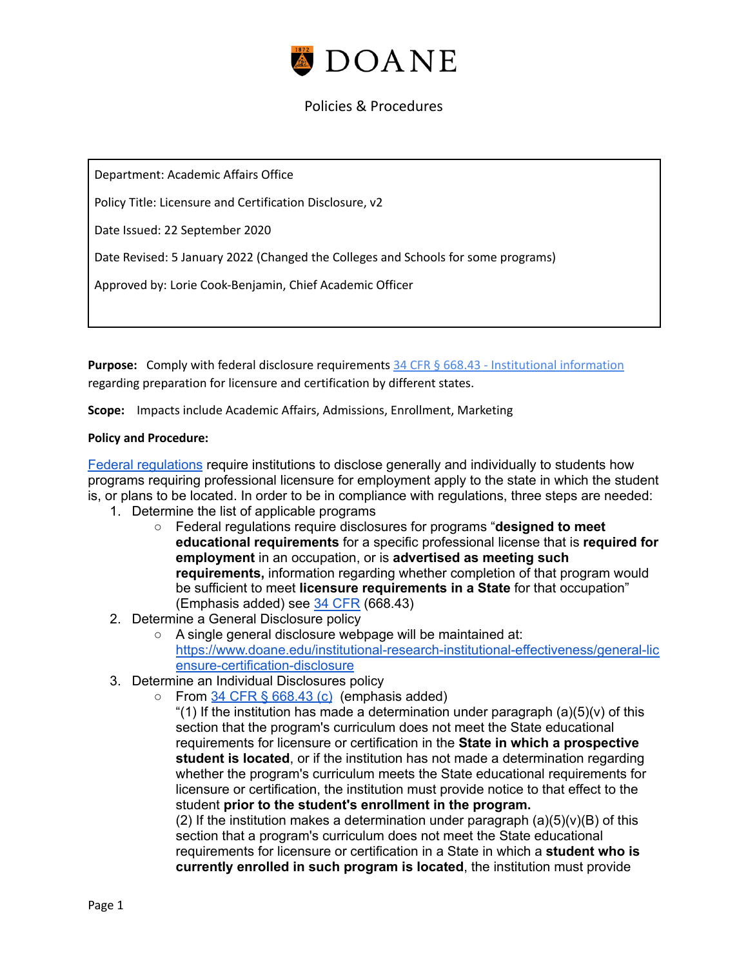

Department: Academic Affairs Office

Policy Title: Licensure and Certification Disclosure, v2

Date Issued: 22 September 2020

Date Revised: 5 January 2022 (Changed the Colleges and Schools for some programs)

Approved by: Lorie Cook-Benjamin, Chief Academic Officer

**Purpose:** Comply with federal disclosure requirements 34 CFR § 668.43 - [Institutional](https://www.law.cornell.edu/cfr/text/34/668.43) information regarding preparation for licensure and certification by different states.

**Scope:** Impacts include Academic Affairs, Admissions, Enrollment, Marketing

#### **Policy and Procedure:**

Federal [regulations](https://www.law.cornell.edu/cfr/text/34/668.43#c_3_ii_A) require institutions to disclose generally and individually to students how programs requiring professional licensure for employment apply to the state in which the student is, or plans to be located. In order to be in compliance with regulations, three steps are needed:

- 1. Determine the list of applicable programs
	- Federal regulations require disclosures for programs "**designed to meet educational requirements** for a specific professional license that is **required for employment** in an occupation, or is **advertised as meeting such requirements,** information regarding whether completion of that program would be sufficient to meet **licensure requirements in a State** for that occupation" (Emphasis added) see 34 [CFR](https://www.law.cornell.edu/cfr/text/34/668.43#c_3_ii_A) (668.43)
- 2. Determine a General Disclosure policy
	- A single general disclosure webpage will be maintained at: [https://www.doane.edu/institutional-research-institutional-effectiveness/general-lic](https://www.doane.edu/institutional-research-institutional-effectiveness/general-licensure-certification-disclosure) [ensure-certification-disclosure](https://www.doane.edu/institutional-research-institutional-effectiveness/general-licensure-certification-disclosure)
- 3. Determine an Individual Disclosures policy
	- $\circ$  From 34 CFR  $\frac{668.43}{c}$  $\frac{668.43}{c}$  $\frac{668.43}{c}$  (emphasis added)

"(1) If the institution has made a determination under paragraph  $(a)(5)(v)$  of this section that the program's curriculum does not meet the State educational requirements for licensure or certification in the **State in which a prospective student is located**, or if the institution has not made a determination regarding whether the program's curriculum meets the State educational requirements for licensure or certification, the institution must provide notice to that effect to the student **prior to the student's enrollment in the program.** (2) If the institution makes a determination under paragraph  $(a)(5)(v)(B)$  of this section that a program's curriculum does not meet the State educational requirements for licensure or certification in a State in which a **student who is currently enrolled in such program is located**, the institution must provide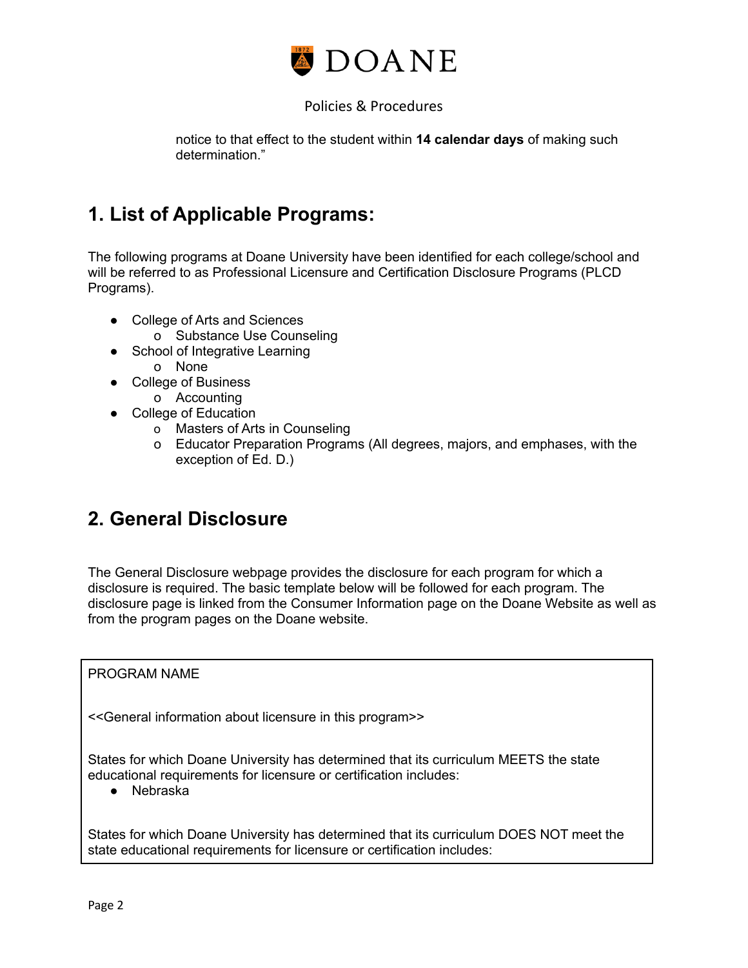

notice to that effect to the student within **14 calendar days** of making such determination."

# **1. List of Applicable Programs:**

The following programs at Doane University have been identified for each college/school and will be referred to as Professional Licensure and Certification Disclosure Programs (PLCD Programs).

- College of Arts and Sciences
	- o Substance Use Counseling
- School of Integrative Learning o None
- College of Business
	- o Accounting
- College of Education
	- o Masters of Arts in Counseling
	- o Educator Preparation Programs (All degrees, majors, and emphases, with the exception of Ed. D.)

# **2. General Disclosure**

The General Disclosure webpage provides the disclosure for each program for which a disclosure is required. The basic template below will be followed for each program. The disclosure page is linked from the Consumer Information page on the Doane Website as well as from the program pages on the Doane website.

PROGRAM NAME

<<General information about licensure in this program>>

States for which Doane University has determined that its curriculum MEETS the state educational requirements for licensure or certification includes:

● Nebraska

States for which Doane University has determined that its curriculum DOES NOT meet the state educational requirements for licensure or certification includes: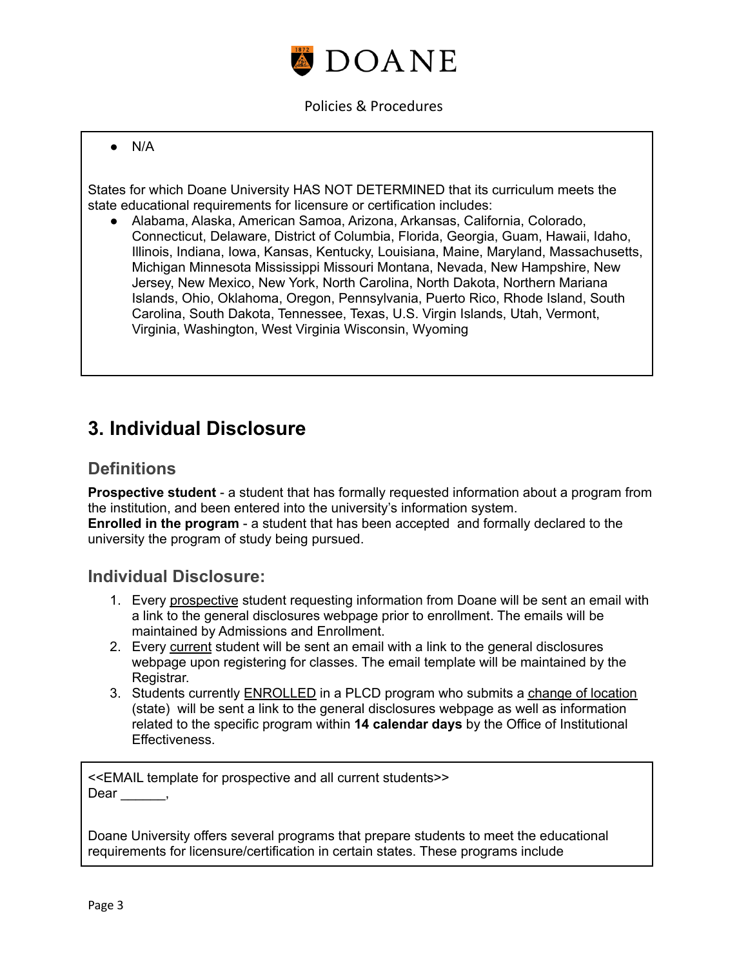

#### ● N/A

States for which Doane University HAS NOT DETERMINED that its curriculum meets the state educational requirements for licensure or certification includes:

● Alabama, Alaska, American Samoa, Arizona, Arkansas, California, Colorado, Connecticut, Delaware, District of Columbia, Florida, Georgia, Guam, Hawaii, Idaho, Illinois, Indiana, Iowa, Kansas, Kentucky, Louisiana, Maine, Maryland, Massachusetts, Michigan Minnesota Mississippi Missouri Montana, Nevada, New Hampshire, New Jersey, New Mexico, New York, North Carolina, North Dakota, Northern Mariana Islands, Ohio, Oklahoma, Oregon, Pennsylvania, Puerto Rico, Rhode Island, South Carolina, South Dakota, Tennessee, Texas, U.S. Virgin Islands, Utah, Vermont, Virginia, Washington, West Virginia Wisconsin, Wyoming

## **3. Individual Disclosure**

## **Definitions**

**Prospective student** - a student that has formally requested information about a program from the institution, and been entered into the university's information system. **Enrolled in the program** - a student that has been accepted and formally declared to the university the program of study being pursued.

### **Individual Disclosure:**

- 1. Every prospective student requesting information from Doane will be sent an email with a link to the general disclosures webpage prior to enrollment. The emails will be maintained by Admissions and Enrollment.
- 2. Every current student will be sent an email with a link to the general disclosures webpage upon registering for classes. The email template will be maintained by the Registrar.
- 3. Students currently ENROLLED in a PLCD program who submits a change of location (state) will be sent a link to the general disclosures webpage as well as information related to the specific program within **14 calendar days** by the Office of Institutional Effectiveness.

<<EMAIL template for prospective and all current students>> Dear,

Doane University offers several programs that prepare students to meet the educational requirements for licensure/certification in certain states. These programs include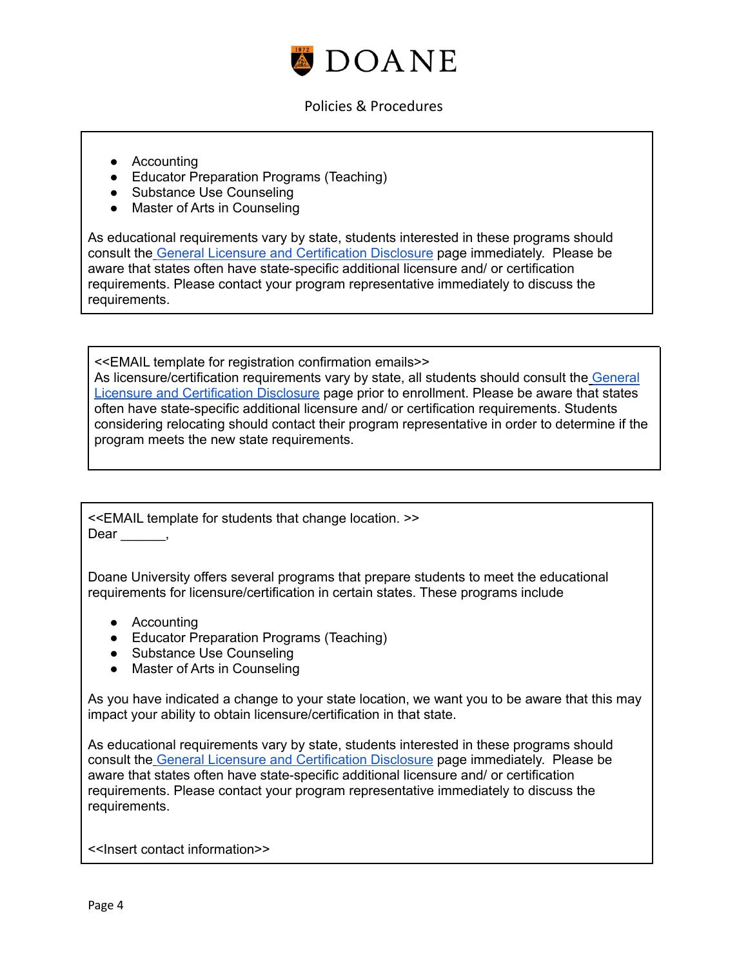

- Accounting
- Educator Preparation Programs (Teaching)
- Substance Use Counseling
- Master of Arts in Counseling

As educational requirements vary by state, students interested in these programs should consult the General Licensure and [Certification](https://www.doane.edu/institutional-research-institutional-effectiveness/general-licensure-certification-disclosure) Disclosure page immediately. Please be aware that states often have state-specific additional licensure and/ or certification requirements. Please contact your program representative immediately to discuss the requirements.

<<EMAIL template for registration confirmation emails>> As licensure/certification requirements vary by state, all students should consult the [General](https://www.doane.edu/institutional-research-institutional-effectiveness/general-licensure-certification-disclosure) Licensure and [Certification](https://www.doane.edu/institutional-research-institutional-effectiveness/general-licensure-certification-disclosure) Disclosure page prior to enrollment. Please be aware that states often have state-specific additional licensure and/ or certification requirements. Students considering relocating should contact their program representative in order to determine if the program meets the new state requirements.

<<EMAIL template for students that change location. >> Dear \_\_\_\_\_\_,

Doane University offers several programs that prepare students to meet the educational requirements for licensure/certification in certain states. These programs include

- Accounting
- Educator Preparation Programs (Teaching)
- Substance Use Counseling
- Master of Arts in Counseling

As you have indicated a change to your state location, we want you to be aware that this may impact your ability to obtain licensure/certification in that state.

As educational requirements vary by state, students interested in these programs should consult the General Licensure and [Certification](https://www.doane.edu/institutional-research-institutional-effectiveness/general-licensure-certification-disclosure) Disclosure page immediately. Please be aware that states often have state-specific additional licensure and/ or certification requirements. Please contact your program representative immediately to discuss the requirements.

<<Insert contact information>>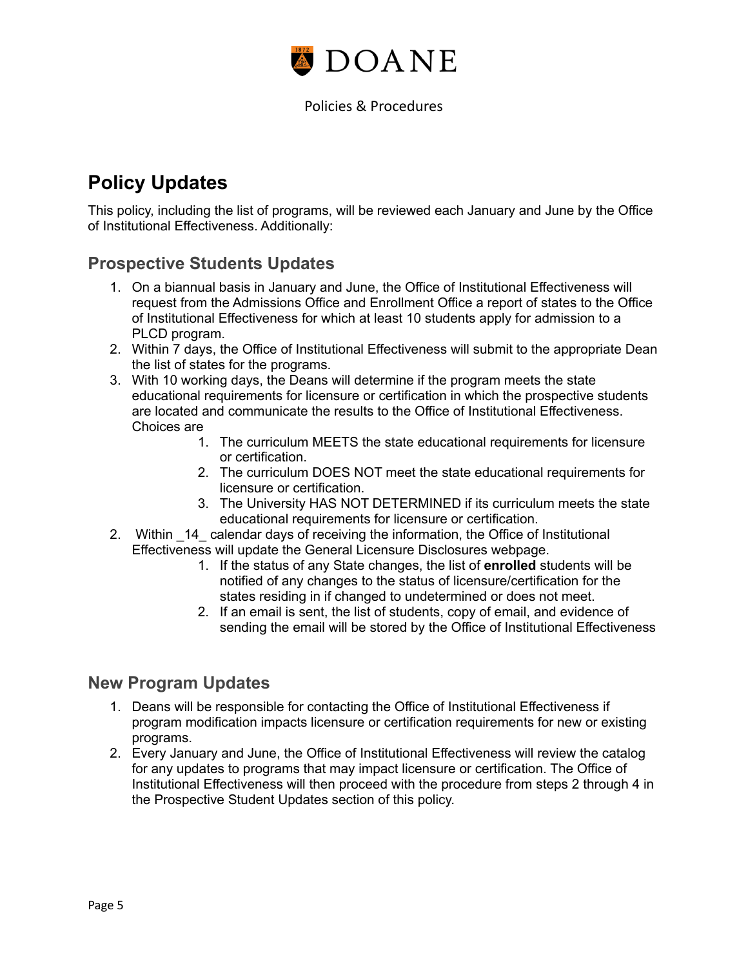

# **Policy Updates**

This policy, including the list of programs, will be reviewed each January and June by the Office of Institutional Effectiveness. Additionally:

## **Prospective Students Updates**

- 1. On a biannual basis in January and June, the Office of Institutional Effectiveness will request from the Admissions Office and Enrollment Office a report of states to the Office of Institutional Effectiveness for which at least 10 students apply for admission to a PLCD program.
- 2. Within 7 days, the Office of Institutional Effectiveness will submit to the appropriate Dean the list of states for the programs.
- 3. With 10 working days, the Deans will determine if the program meets the state educational requirements for licensure or certification in which the prospective students are located and communicate the results to the Office of Institutional Effectiveness. Choices are
	- 1. The curriculum MEETS the state educational requirements for licensure or certification.
	- 2. The curriculum DOES NOT meet the state educational requirements for licensure or certification.
	- 3. The University HAS NOT DETERMINED if its curriculum meets the state educational requirements for licensure or certification.
- 2. Within \_14\_ calendar days of receiving the information, the Office of Institutional Effectiveness will update the General Licensure Disclosures webpage.
	- 1. If the status of any State changes, the list of **enrolled** students will be notified of any changes to the status of licensure/certification for the states residing in if changed to undetermined or does not meet.
	- 2. If an email is sent, the list of students, copy of email, and evidence of sending the email will be stored by the Office of Institutional Effectiveness

## **New Program Updates**

- 1. Deans will be responsible for contacting the Office of Institutional Effectiveness if program modification impacts licensure or certification requirements for new or existing programs.
- 2. Every January and June, the Office of Institutional Effectiveness will review the catalog for any updates to programs that may impact licensure or certification. The Office of Institutional Effectiveness will then proceed with the procedure from steps 2 through 4 in the Prospective Student Updates section of this policy.